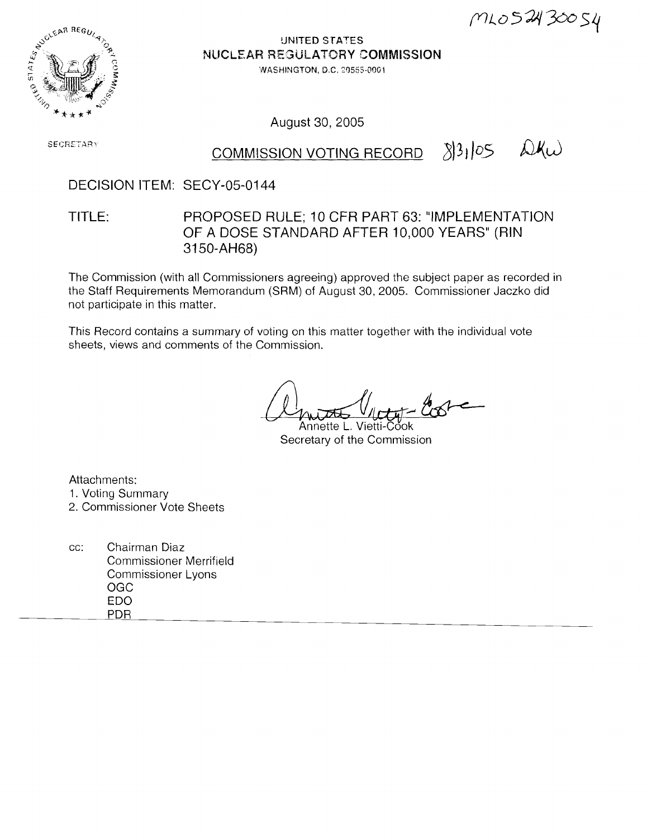$MLO52430054$ 



**!JNITED STA'ES NUCLEAR REGULATORY COMMISSION** 

WASHINGTON, D.C. 20555-0001

August 30, 2005

**SECRETARY** 

# COMMISSION VOTING RECORD  $33105$   $\omega$ Kw

#### DECISION ITEM: SECY-05-0144

TITLE: PROPOSED RULE; 10 CFR PART 63: "IMPLEMENTATION OF A DOSE STANDARD AFTER 10,000 YEARS" (RIN 3150-AH68)

The Commission (with all Commissioners agreeing) approved the subject paper as recorded in the Staff Requirements Memorandum (SRM) of August 30, 2005. Commissioner Jaczko did not participate in this matter.

This Record contains a summary of voting on this matter together with the individual vote sheets, views and comments of the Commission.

Annette L. Vietti-Čook Secretary of the Commission

Attachments:

- 1. Voting Summary
- 2. Commissioner Vote Sheets
- cc: Chairman Diaz Commissioner Merrifield Commissioner Lyons OGC ED0 PDR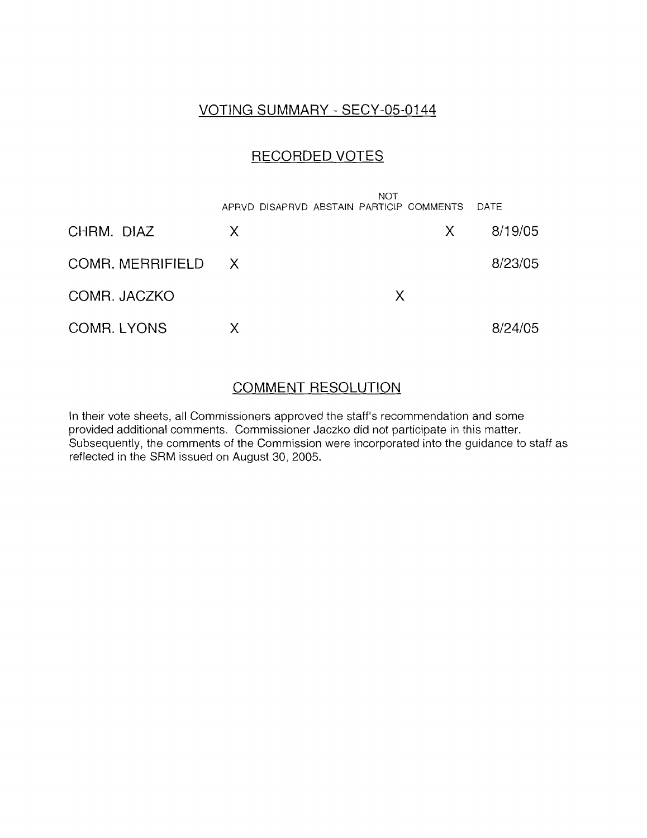#### VOTING SUMMARY - SECY-05-0144

### RECORDED VOTES

|                    |              | <b>NOT</b><br>APRVD DISAPRVD ABSTAIN PARTICIP COMMENTS |   | DATE    |
|--------------------|--------------|--------------------------------------------------------|---|---------|
| CHRM. DIAZ         | $\mathsf{X}$ |                                                        | X | 8/19/05 |
| COMR. MERRIFIELD X |              |                                                        |   | 8/23/05 |
| COMR. JACZKO       |              | X                                                      |   |         |
| <b>COMR. LYONS</b> | х            |                                                        |   | 8/24/05 |

#### COMMENT RESOLUTION

In their vote sheets, all Commissioners approved the staff's recommendation and some provided additional comments. Commissioner Jaczko did not participate in this matter. Subsequently, the comments of the Commission were incorporated into the guidance to staff as reflected in the SRM issued on August 30, 2005.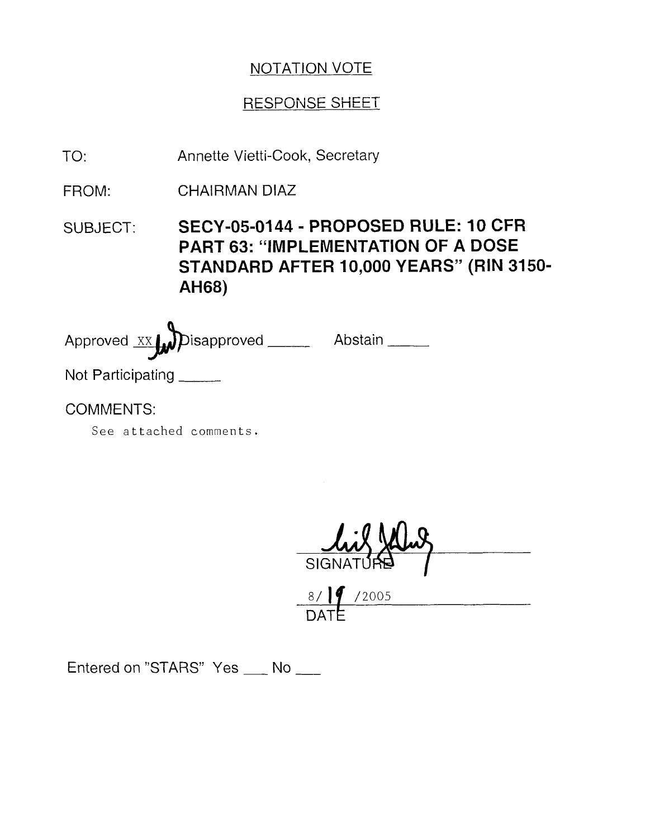## NOTATION VOTE

### **RESPONSE SHEET**

TO: Annette Vietti-Cook, Secretary

FROM: CHAIRMAN DIAZ

SUBJECT: **SECY-05-0144** - **PROPOSED RULE: 10 CFR PART 63: "IMPLEMENTATION OF A DOSE STANDARD AFTER 10,000 YEARS" (RIN 3150- AH68)** 

Approved xx Disapproved \_\_\_\_\_ Abstain \_\_\_\_ Not Participating

COMMENTS:

See attached comments.

 $\frac{8/\sqrt{9}}{DATE}$ /2005<br>Entered on "STARS" Yes \_\_\_ No \_\_\_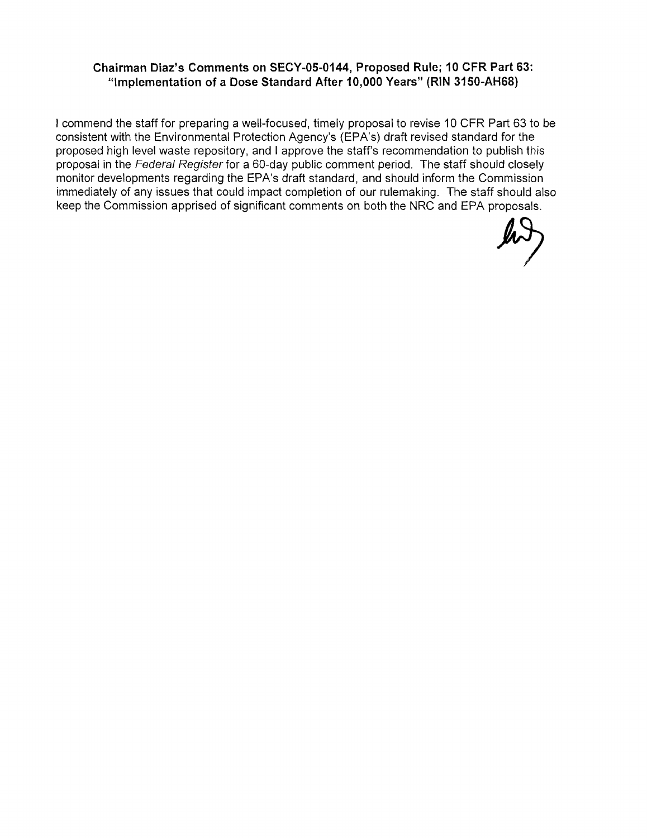#### **Chairman Diaz's Comments on SECY-05-0144, Proposed Rule; 10 CFR Part 63: "Implementation of a Dose Standard After 10,000 Years" (RIN 3150-AH68)**

I commend the staff for preparing a well-focused, timely proposal to revise 10 CFR Part 63 to be consistent with the Environmental Protection Agency's (EPA's) draft revised standard for the proposed high level waste repository, and I approve the staff's recommendation to publish this proposal in the Federal Register for a 60-day public comment period. The staff should closely monitor developments regarding the EPA's draft standard, and should inform the Commission immediately of any issues that could impact completion of our rulemaking. The staff should also keep the Commission apprised of significant comments on both the NRC and EPA proposals.

 $\mu$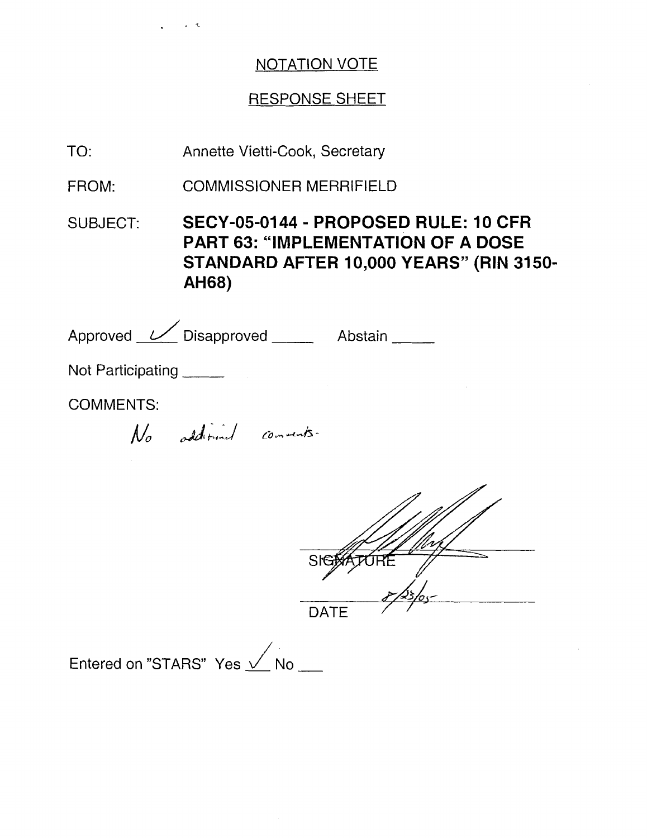### NOTATION VOTE

### RESPONSE SHEET

TO: Annette Vietti-Cook, Secretary

FROM: COMMISSIONER MERRIFIELD

SUBJECT: **SECY-05-0144** - **PROPOSED RULE: 10 CFR PART 63: "IMPLEMENTATION OF A DOSE STANDARD AFTER 10,000 YEARS" (RIN 3150- AH68)** 

| Approved <u>V</u> Disapproved _____ |  |                         | Abstain |  |
|-------------------------------------|--|-------------------------|---------|--|
| Not Participating                   |  |                         |         |  |
| <b>COMMENTS:</b>                    |  |                         |         |  |
|                                     |  | No additional comments. |         |  |



 $\begin{array}{r} \text{DATE} \ \text{Entered on "STARS" Yes} \begin{array}{r} \end{array} \ \text{No} \ \_\_\_ \end{array}$